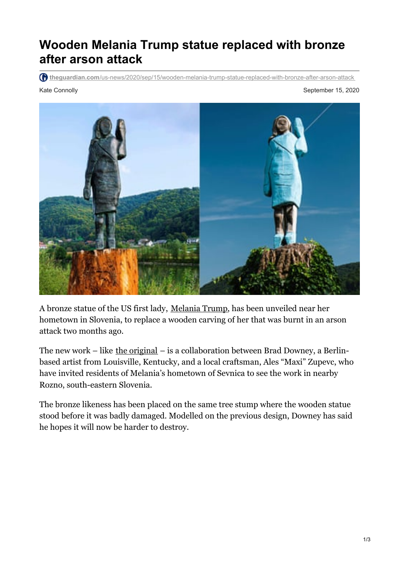## **Wooden Melania Trump statue replaced with bronze after arson attack**

**theguardian.com**[/us-news/2020/sep/15/wooden-melania-trump-statue-replaced-with-bronze-after-arson-attack](https://www.theguardian.com/us-news/2020/sep/15/wooden-melania-trump-statue-replaced-with-bronze-after-arson-attack)

Kate Connolly **September 15, 2020** 



A bronze statue of the US first lady, [Melania](https://www.theguardian.com/us-news/melania-trump) Trump, has been unveiled near her hometown in Slovenia, to replace a wooden carving of her that was burnt in an arson attack two months ago.

The new work – like  $the original$  $the original$  $the original$  – is a collaboration between Brad Downey, a Berlin-</u> based artist from Louisville, Kentucky, and a local craftsman, Ales "Maxi" Zupevc, who have invited residents of Melania's hometown of Sevnica to see the work in nearby Rozno, south-eastern Slovenia.

The bronze likeness has been placed on the same tree stump where the wooden statue stood before it was badly damaged. Modelled on the previous design, Downey has said he hopes it will now be harder to destroy.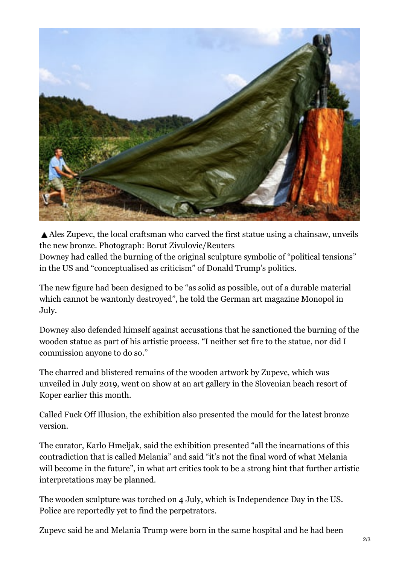

Ales Zupevc, the local craftsman who carved the first statue using a chainsaw, unveils the new bronze. Photograph: Borut Zivulovic/Reuters Downey had called the burning of the original sculpture symbolic of "political tensions" in the US and "conceptualised as criticism" of Donald Trump's politics.

The new figure had been designed to be "as solid as possible, out of a durable material which cannot be wantonly destroyed", he told the German art magazine Monopol in July.

Downey also defended himself against accusations that he sanctioned the burning of the wooden statue as part of his artistic process. "I neither set fire to the statue, nor did I commission anyone to do so."

The charred and blistered remains of the wooden artwork by Zupevc, which was unveiled in July 2019, went on show at an art gallery in the Slovenian beach resort of Koper earlier this month.

Called Fuck Off Illusion, the exhibition also presented the mould for the latest bronze version.

The curator, Karlo Hmeljak, said the exhibition presented "all the incarnations of this contradiction that is called Melania" and said "it's not the final word of what Melania will become in the future", in what art critics took to be a strong hint that further artistic interpretations may be planned.

The wooden sculpture was torched on 4 July, which is Independence Day in the US. Police are reportedly yet to find the perpetrators.

Zupevc said he and Melania Trump were born in the same hospital and he had been